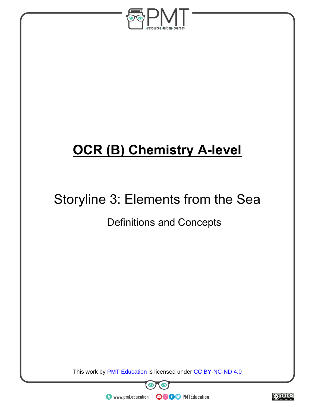

## **OCR (B) Chemistry A-level**

# Storyline 3: Elements from the Sea

### Definitions and Concepts

This work by **PMT Education** is licensed under CC BY-NC-ND 4.0



 $\bullet$  www.pmt.education

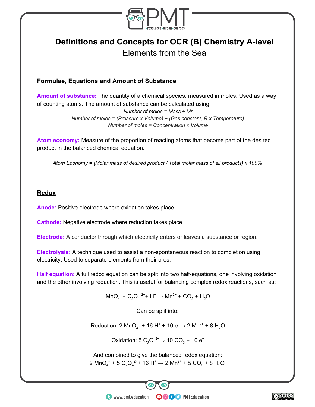

### **Definitions and Concepts for OCR (B) Chemistry A-level** Elements from the Sea

#### **Formulae, Equations and Amount of Substance**

**Amount of substance:** The quantity of a chemical species, measured in moles. Used as a way of counting atoms. The amount of substance can be calculated using:

> *Number of moles = Mass ÷ Mr Number of moles = (Pressure x Volume) ÷ (Gas constant, R x Temperature) Number of moles = Concentration x Volume*

**Atom economy:** Measure of the proportion of reacting atoms that become part of the desired product in the balanced chemical equation.

*Atom Economy = (Molar mass of desired product / Total molar mass of all products) x 100%*

#### **Redox**

**Anode:** Positive electrode where oxidation takes place.

**Cathode:** Negative electrode where reduction takes place.

**Electrode:** A conductor through which electricity enters or leaves a substance or region.

**Electrolysis:** A technique used to assist a non-spontaneous reaction to completion using electricity. Used to separate elements from their ores.

**Half equation:** A full redox equation can be split into two half-equations, one involving oxidation and the other involving reduction. This is useful for balancing complex redox reactions, such as:

 $\text{MnO}_4^-$  +  $\text{C}_2\text{O}_4$ <sup>2-</sup>+ H<sup>+</sup>  $\rightarrow$  Mn<sup>2+</sup> + CO<sub>2</sub> + H<sub>2</sub>O

Can be split into:

Reduction: 2 MnO<sub>4</sub><sup>-</sup> + 16 H<sup>+</sup> + 10 e<sup>-</sup>→ 2 Mn<sup>2+</sup> + 8 H<sub>2</sub>O

Oxidation: 5  $C_2O_4^2 \rightarrow 10$  CO<sub>2</sub> + 10  $e^-$ 

And combined to give the balanced redox equation: 2 MnO<sub>4</sub><sup>−</sup> + 5 C<sub>2</sub>O<sub>4</sub><sup>2−</sup> + 16 H<sup>+</sup> → 2 Mn<sup>2+</sup> + 5 CO<sub>2</sub> + 8 H<sub>2</sub>O

**OOOO** PMTEducation

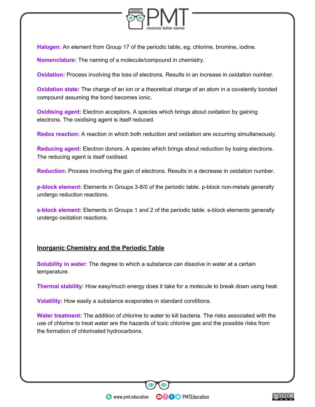

**Halogen:** An element from Group 17 of the periodic table, eg, chlorine, bromine, iodine.

**Nomenclature:** The naming of a molecule/compound in chemistry.

**Oxidation:** Process involving the loss of electrons. Results in an increase in oxidation number.

**Oxidation state:** The charge of an ion or a theoretical charge of an atom in a covalently bonded compound assuming the bond becomes ionic.

**Oxidising agent:** Electron acceptors. A species which brings about oxidation by gaining electrons. The oxidising agent is itself reduced.

**Redox reaction:** A reaction in which both reduction and oxidation are occurring simultaneously.

**Reducing agent:** Electron donors. A species which brings about reduction by losing electrons. The reducing agent is itself oxidised.

**Reduction:** Process involving the gain of electrons. Results in a decrease in oxidation number.

**p-block element:** Elements in Groups 3-8/0 of the periodic table. p-block non-metals generally undergo reduction reactions.

**s-block element:** Elements in Groups 1 and 2 of the periodic table. s-block elements generally undergo oxidation reactions.

#### **Inorganic Chemistry and the Periodic Table**

**Solubility in water:** The degree to which a substance can dissolve in water at a certain temperature.

**Thermal stability:** How easy/much energy does it take for a molecule to break down using heat.

**Volatility:** How easily a substance evaporates in standard conditions.

**Water treatment:** The addition of chlorine to water to kill bacteria. The risks associated with the use of chlorine to treat water are the hazards of toxic chlorine gas and the possible risks from the formation of chlorinated hydrocarbons.

**OOOO** PMTEducation

 $\bullet$  www.pmt.education